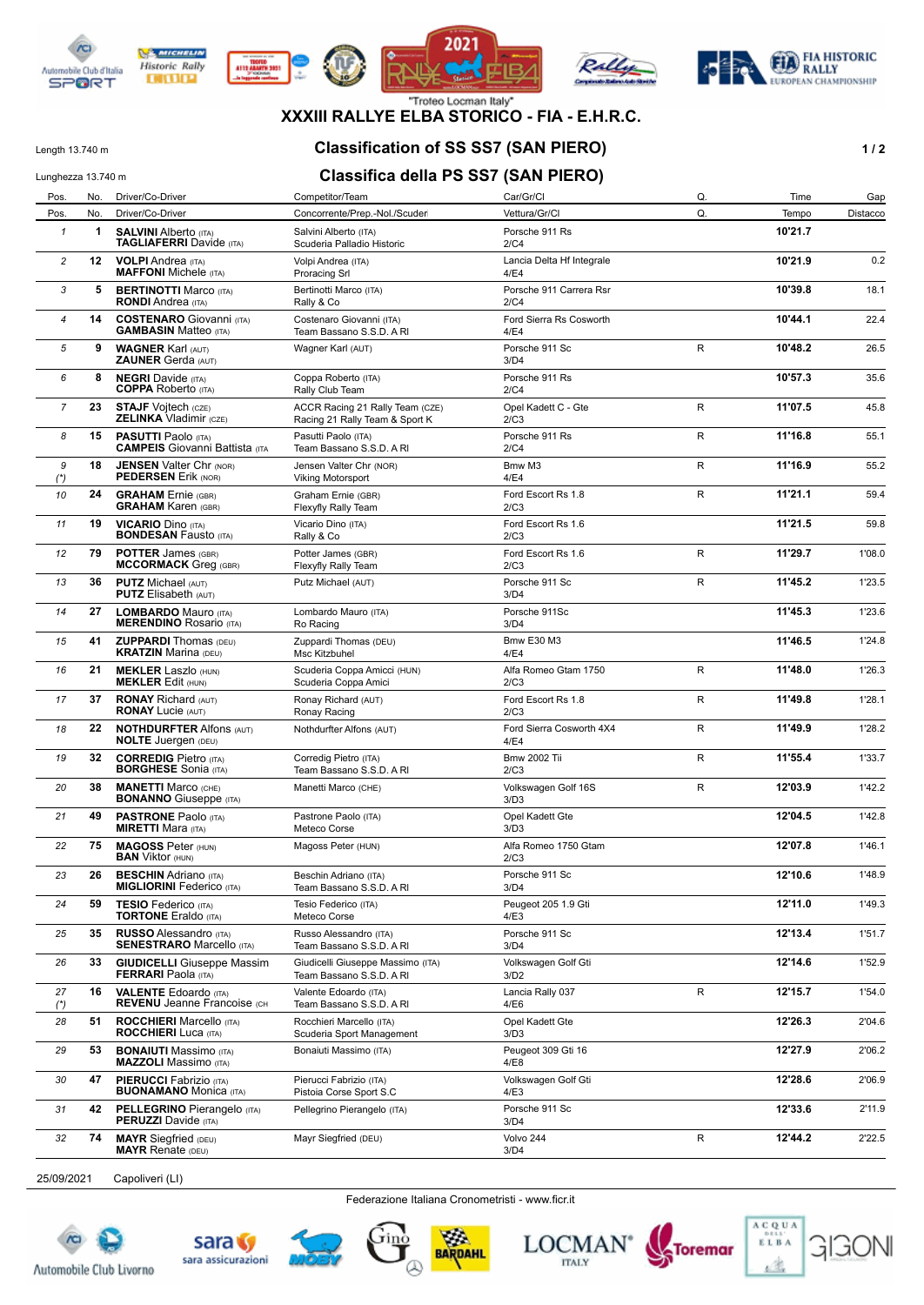

**DITURN** 









### **XXXIII RALLYE ELBA STORICO - FIA - E.H.R.C.**

### Length 13.740 m **Classification of SS SS7 (SAN PIERO) 1/2**

# Lunghezza 13.740 m **Classifica della PS SS7 (SAN PIERO)**

|                | Lungnezza 10.740 m |                                                                     |                                                                   |                                   |    |         |          |
|----------------|--------------------|---------------------------------------------------------------------|-------------------------------------------------------------------|-----------------------------------|----|---------|----------|
| Pos.           | No.                | Driver/Co-Driver                                                    | Competitor/Team                                                   | Car/Gr/Cl                         | Q. | Time    | Gap      |
| Pos.           | No.                | Driver/Co-Driver                                                    | Concorrente/Prep.-Nol./Scuder                                     | Vettura/Gr/Cl                     | Q. | Tempo   | Distacco |
| $\mathbf{1}$   | 1                  | <b>SALVINI Alberto (ITA)</b><br><b>TAGLIAFERRI</b> Davide (ITA)     | Salvini Alberto (ITA)<br>Scuderia Palladio Historic               | Porsche 911 Rs<br>2/C4            |    | 10'21.7 |          |
| $\overline{c}$ | 12 <sub>2</sub>    | <b>VOLPI</b> Andrea (ITA)<br><b>MAFFONI</b> Michele (ITA)           | Volpi Andrea (ITA)<br><b>Proracing Srl</b>                        | Lancia Delta Hf Integrale<br>4/E4 |    | 10'21.9 | 0.2      |
| 3              | 5                  | <b>BERTINOTTI Marco (ITA)</b><br><b>RONDI</b> Andrea (ITA)          | Bertinotti Marco (ITA)<br>Rally & Co                              | Porsche 911 Carrera Rsr<br>2/C4   |    | 10'39.8 | 18.1     |
| $\overline{4}$ | 14                 | <b>COSTENARO</b> Giovanni (ITA)<br><b>GAMBASIN Matteo (ITA)</b>     | Costenaro Giovanni (ITA)<br>Team Bassano S.S.D. A RI              | Ford Sierra Rs Cosworth<br>4/E4   |    | 10'44.1 | 22.4     |
| 5              | 9                  | <b>WAGNER Karl (AUT)</b><br><b>ZAUNER Gerda (AUT)</b>               | Wagner Karl (AUT)                                                 | Porsche 911 Sc<br>3/D4            | R  | 10'48.2 | 26.5     |
| 6              | 8                  | <b>NEGRI Davide (ITA)</b><br><b>COPPA</b> Roberto (ITA)             | Coppa Roberto (ITA)<br>Rally Club Team                            | Porsche 911 Rs<br>2/C4            |    | 10'57.3 | 35.6     |
| $\overline{7}$ | 23                 | <b>STAJF Vojtech (CZE)</b><br><b>ZELINKA Vladimir (CZE)</b>         | ACCR Racing 21 Rally Team (CZE)<br>Racing 21 Rally Team & Sport K | Opel Kadett C - Gte<br>2/C3       | R  | 11'07.5 | 45.8     |
| 8              | 15                 | <b>PASUTTI Paolo (ITA)</b><br><b>CAMPEIS</b> Giovanni Battista (ITA | Pasutti Paolo (ITA)<br>Team Bassano S.S.D. A RI                   | Porsche 911 Rs<br>2/C4            | R  | 11'16.8 | 55.1     |
| 9<br>$(*)$     | 18                 | <b>JENSEN Valter Chr (NOR)</b><br><b>PEDERSEN Erik (NOR)</b>        | Jensen Valter Chr (NOR)<br>Viking Motorsport                      | Bmw M3<br>4/E4                    | R  | 11'16.9 | 55.2     |
| 10             | 24                 | <b>GRAHAM</b> Ernie (GBR)<br><b>GRAHAM Karen (GBR)</b>              | Graham Ernie (GBR)<br>Flexyfly Rally Team                         | Ford Escort Rs 1.8<br>2/C3        | R  | 11'21.1 | 59.4     |
| 11             | 19                 | <b>VICARIO Dino (ITA)</b><br><b>BONDESAN Fausto (ITA)</b>           | Vicario Dino (ITA)<br>Rally & Co                                  | Ford Escort Rs 1.6<br>2/C3        |    | 11'21.5 | 59.8     |
| 12             | 79                 | <b>POTTER James (GBR)</b><br><b>MCCORMACK Greq (GBR)</b>            | Potter James (GBR)<br><b>Flexyfly Rally Team</b>                  | Ford Escort Rs 1.6<br>2/C3        | R  | 11'29.7 | 1'08.0   |
| 13             | 36                 | <b>PUTZ Michael (AUT)</b><br><b>PUTZ</b> Elisabeth (AUT)            | Putz Michael (AUT)                                                | Porsche 911 Sc<br>3/D4            | R  | 11'45.2 | 1'23.5   |
| 14             | 27                 | <b>LOMBARDO Mauro (ITA)</b><br><b>MERENDINO Rosario (ITA)</b>       | Lombardo Mauro (ITA)<br>Ro Racing                                 | Porsche 911Sc<br>3/D4             |    | 11'45.3 | 1'23.6   |
| 15             | 41                 | <b>ZUPPARDI</b> Thomas (DEU)<br><b>KRATZIN Marina (DEU)</b>         | Zuppardi Thomas (DEU)<br>Msc Kitzbuhel                            | <b>Bmw E30 M3</b><br>4/E4         |    | 11'46.5 | 1'24.8   |
| 16             | 21                 | <b>MEKLER Laszlo (HUN)</b><br><b>MEKLER Edit (HUN)</b>              | Scuderia Coppa Amicci (HUN)<br>Scuderia Coppa Amici               | Alfa Romeo Gtam 1750<br>2/C3      | R  | 11'48.0 | 1'26.3   |
| 17             | 37                 | <b>RONAY Richard (AUT)</b><br><b>RONAY Lucie (AUT)</b>              | Ronay Richard (AUT)<br>Ronay Racing                               | Ford Escort Rs 1.8<br>2/C3        | R  | 11'49.8 | 1'28.1   |
| 18             | 22                 | <b>NOTHDURFTER Alfons (AUT)</b><br><b>NOLTE</b> Juergen (DEU)       | Nothdurfter Alfons (AUT)                                          | Ford Sierra Cosworth 4X4<br>4/E4  | R  | 11'49.9 | 1'28.2   |
| 19             | 32                 | <b>CORREDIG Pietro (ITA)</b><br><b>BORGHESE</b> Sonia (ITA)         | Corredig Pietro (ITA)<br>Team Bassano S.S.D. A RI                 | <b>Bmw 2002 Tii</b><br>2/C3       | R  | 11'55.4 | 1'33.7   |
| 20             | 38                 | <b>MANETTI Marco (CHE)</b><br><b>BONANNO</b> Giuseppe (ITA)         | Manetti Marco (CHE)                                               | Volkswagen Golf 16S<br>3/D3       | R  | 12'03.9 | 1'42.2   |
| 21             | 49                 | <b>PASTRONE Paolo (ITA)</b><br><b>MIRETTI Mara (ITA)</b>            | Pastrone Paolo (ITA)<br>Meteco Corse                              | Opel Kadett Gte<br>3/D3           |    | 12'04.5 | 1'42.8   |
| 22             | 75                 | <b>MAGOSS Peter (HUN)</b><br><b>BAN</b> Viktor (HUN)                | Magoss Peter (HUN)                                                | Alfa Romeo 1750 Gtam<br>2/C3      |    | 12'07.8 | 1'46.1   |
| 23             | 26                 | <b>BESCHIN</b> Adriano (ITA)<br><b>MIGLIORINI Federico (ITA)</b>    | Beschin Adriano (ITA)<br>Team Bassano S.S.D. A RI                 | Porsche 911 Sc<br>3/D4            |    | 12'10.6 | 1'48.9   |
| 24             | 59                 | <b>TESIO Federico</b> (ITA)<br><b>TORTONE</b> Eraldo (ITA)          | Tesio Federico (ITA)<br>Meteco Corse                              | Peugeot 205 1.9 Gti<br>4/E3       |    | 12'11.0 | 1'49.3   |
| 25             | 35                 | <b>RUSSO</b> Alessandro (ITA)<br><b>SENESTRARO</b> Marcello (ITA)   | Russo Alessandro (ITA)<br>Team Bassano S.S.D. A RI                | Porsche 911 Sc<br>3/D4            |    | 12'13.4 | 1'51.7   |
| 26             | 33                 | <b>GIUDICELLI</b> Giuseppe Massim<br><b>FERRARI</b> Paola (ITA)     | Giudicelli Giuseppe Massimo (ITA)<br>Team Bassano S.S.D. A RI     | Volkswagen Golf Gti<br>3/D2       |    | 12'14.6 | 1'52.9   |
| 27<br>$(*)$    | 16                 | <b>VALENTE Edoardo</b> (ITA)<br><b>REVENU</b> Jeanne Francoise (CH  | Valente Edoardo (ITA)<br>Team Bassano S.S.D. A RI                 | Lancia Rally 037<br>4/E6          | R  | 12'15.7 | 1'54.0   |
| 28             | 51                 | <b>ROCCHIERI</b> Marcello (ITA)<br><b>ROCCHIERI</b> Luca (ITA)      | Rocchieri Marcello (ITA)<br>Scuderia Sport Management             | Opel Kadett Gte<br>3/D3           |    | 12'26.3 | 2'04.6   |
| 29             | 53                 | <b>BONAIUTI</b> Massimo (ITA)<br><b>MAZZOLI</b> Massimo (ITA)       | Bonaiuti Massimo (ITA)                                            | Peugeot 309 Gti 16<br>4/E8        |    | 12'27.9 | 2'06.2   |
| 30             | 47                 | <b>PIERUCCI Fabrizio (ITA)</b><br><b>BUONAMANO</b> Monica (ITA)     | Pierucci Fabrizio (ITA)<br>Pistoia Corse Sport S.C                | Volkswagen Golf Gti<br>4/E3       |    | 12'28.6 | 2'06.9   |
| 31             | 42                 | <b>PELLEGRINO</b> Pierangelo (ITA)<br><b>PERUZZI</b> Davide (ITA)   | Pellegrino Pierangelo (ITA)                                       | Porsche 911 Sc<br>3/D4            |    | 12'33.6 | 2'11.9   |
| 32             | 74                 | <b>MAYR</b> Siegfried (DEU)<br><b>MAYR Renate (DEU)</b>             | Mayr Siegfried (DEU)                                              | Volvo 244<br>3/D4                 | R  | 12'44.2 | 2'22.5   |

25/09/2021 Capoliveri (LI)

Federazione Italiana Cronometristi - www.ficr.it